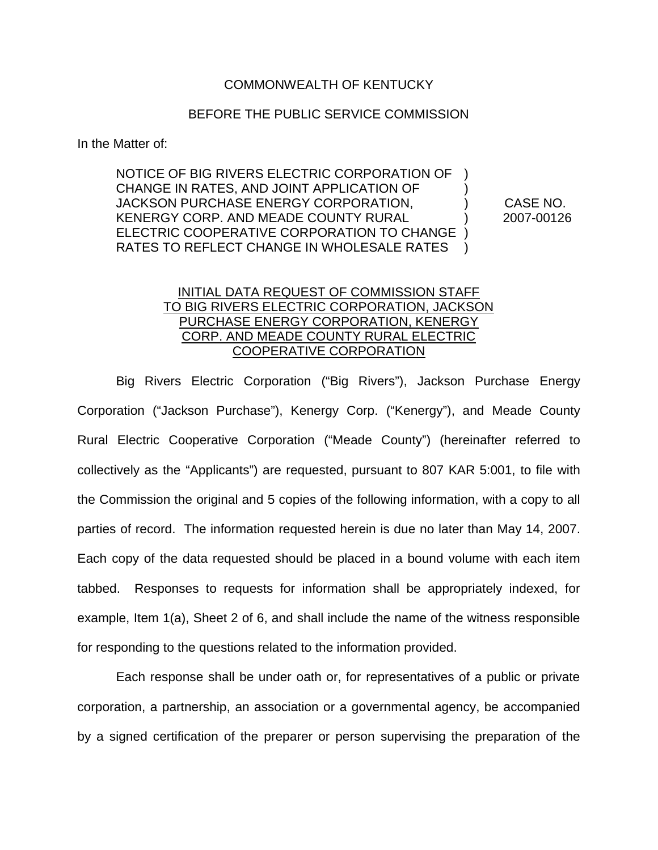## COMMONWEALTH OF KENTUCKY

## BEFORE THE PUBLIC SERVICE COMMISSION

In the Matter of:

NOTICE OF BIG RIVERS ELECTRIC CORPORATION OF ) CHANGE IN RATES, AND JOINT APPLICATION OF ) JACKSON PURCHASE ENERGY CORPORATION, ) CASE NO. KENERGY CORP. AND MEADE COUNTY RURAL (2007-00126 ELECTRIC COOPERATIVE CORPORATION TO CHANGE ) RATES TO REFLECT CHANGE IN WHOLESALE RATES )

## INITIAL DATA REQUEST OF COMMISSION STAFF TO BIG RIVERS ELECTRIC CORPORATION, JACKSON PURCHASE ENERGY CORPORATION, KENERGY CORP. AND MEADE COUNTY RURAL ELECTRIC COOPERATIVE CORPORATION

Big Rivers Electric Corporation ("Big Rivers"), Jackson Purchase Energy Corporation ("Jackson Purchase"), Kenergy Corp. ("Kenergy"), and Meade County Rural Electric Cooperative Corporation ("Meade County") (hereinafter referred to collectively as the "Applicants") are requested, pursuant to 807 KAR 5:001, to file with the Commission the original and 5 copies of the following information, with a copy to all parties of record. The information requested herein is due no later than May 14, 2007. Each copy of the data requested should be placed in a bound volume with each item tabbed. Responses to requests for information shall be appropriately indexed, for example, Item 1(a), Sheet 2 of 6, and shall include the name of the witness responsible for responding to the questions related to the information provided.

Each response shall be under oath or, for representatives of a public or private corporation, a partnership, an association or a governmental agency, be accompanied by a signed certification of the preparer or person supervising the preparation of the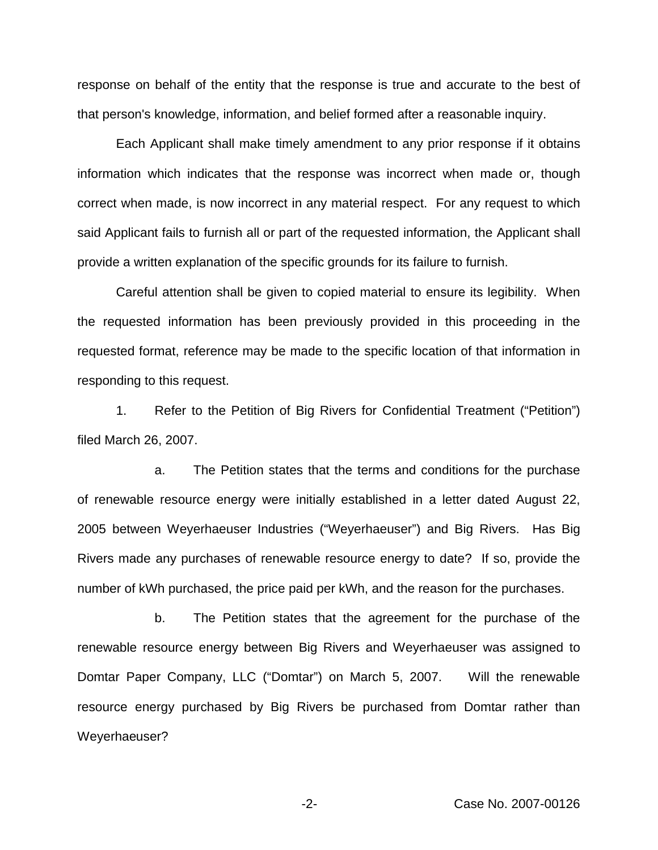response on behalf of the entity that the response is true and accurate to the best of that person's knowledge, information, and belief formed after a reasonable inquiry.

Each Applicant shall make timely amendment to any prior response if it obtains information which indicates that the response was incorrect when made or, though correct when made, is now incorrect in any material respect. For any request to which said Applicant fails to furnish all or part of the requested information, the Applicant shall provide a written explanation of the specific grounds for its failure to furnish.

Careful attention shall be given to copied material to ensure its legibility. When the requested information has been previously provided in this proceeding in the requested format, reference may be made to the specific location of that information in responding to this request.

1. Refer to the Petition of Big Rivers for Confidential Treatment ("Petition") filed March 26, 2007.

a. The Petition states that the terms and conditions for the purchase of renewable resource energy were initially established in a letter dated August 22, 2005 between Weyerhaeuser Industries ("Weyerhaeuser") and Big Rivers. Has Big Rivers made any purchases of renewable resource energy to date? If so, provide the number of kWh purchased, the price paid per kWh, and the reason for the purchases.

b. The Petition states that the agreement for the purchase of the renewable resource energy between Big Rivers and Weyerhaeuser was assigned to Domtar Paper Company, LLC ("Domtar") on March 5, 2007. Will the renewable resource energy purchased by Big Rivers be purchased from Domtar rather than Weyerhaeuser?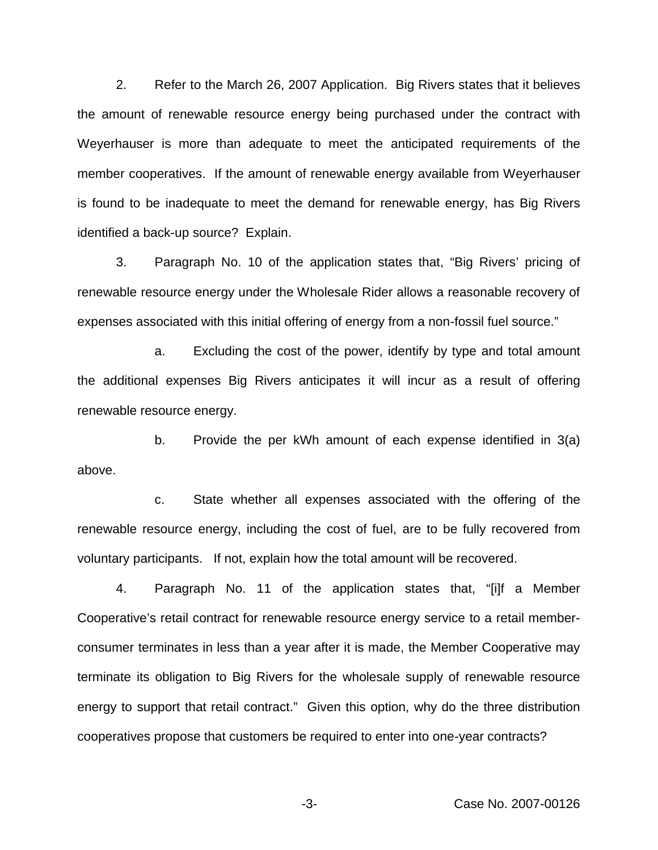2. Refer to the March 26, 2007 Application. Big Rivers states that it believes the amount of renewable resource energy being purchased under the contract with Weyerhauser is more than adequate to meet the anticipated requirements of the member cooperatives. If the amount of renewable energy available from Weyerhauser is found to be inadequate to meet the demand for renewable energy, has Big Rivers identified a back-up source? Explain.

3. Paragraph No. 10 of the application states that, "Big Rivers' pricing of renewable resource energy under the Wholesale Rider allows a reasonable recovery of expenses associated with this initial offering of energy from a non-fossil fuel source."

a. Excluding the cost of the power, identify by type and total amount the additional expenses Big Rivers anticipates it will incur as a result of offering renewable resource energy.

b. Provide the per kWh amount of each expense identified in 3(a) above.

c. State whether all expenses associated with the offering of the renewable resource energy, including the cost of fuel, are to be fully recovered from voluntary participants. If not, explain how the total amount will be recovered.

4. Paragraph No. 11 of the application states that, "[i]f a Member Cooperative's retail contract for renewable resource energy service to a retail memberconsumer terminates in less than a year after it is made, the Member Cooperative may terminate its obligation to Big Rivers for the wholesale supply of renewable resource energy to support that retail contract." Given this option, why do the three distribution cooperatives propose that customers be required to enter into one-year contracts?

-3- Case No. 2007-00126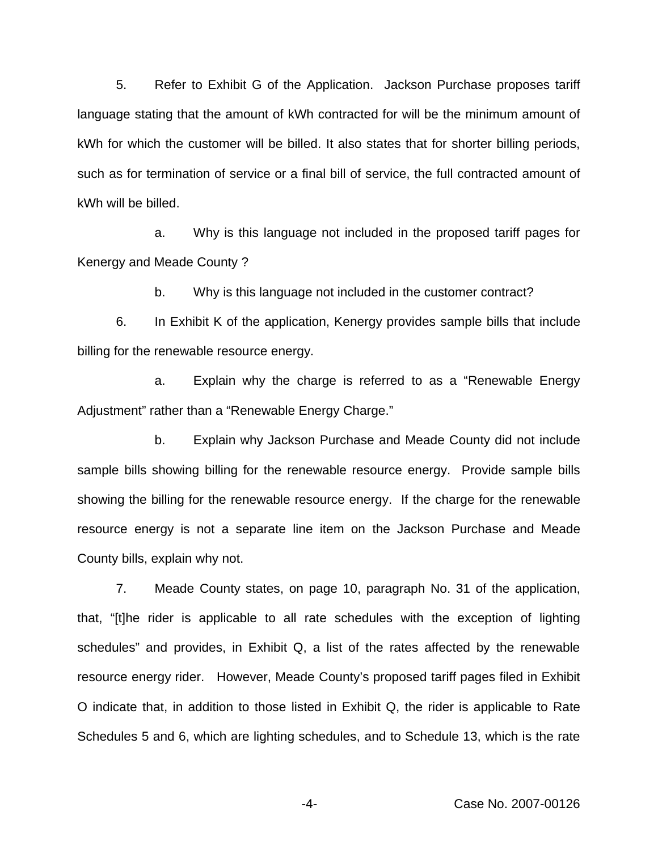5. Refer to Exhibit G of the Application. Jackson Purchase proposes tariff language stating that the amount of kWh contracted for will be the minimum amount of kWh for which the customer will be billed. It also states that for shorter billing periods, such as for termination of service or a final bill of service, the full contracted amount of kWh will be billed.

a. Why is this language not included in the proposed tariff pages for Kenergy and Meade County ?

b. Why is this language not included in the customer contract?

6. In Exhibit K of the application, Kenergy provides sample bills that include billing for the renewable resource energy.

a. Explain why the charge is referred to as a "Renewable Energy Adjustment" rather than a "Renewable Energy Charge."

b. Explain why Jackson Purchase and Meade County did not include sample bills showing billing for the renewable resource energy. Provide sample bills showing the billing for the renewable resource energy. If the charge for the renewable resource energy is not a separate line item on the Jackson Purchase and Meade County bills, explain why not.

7. Meade County states, on page 10, paragraph No. 31 of the application, that, "[t]he rider is applicable to all rate schedules with the exception of lighting schedules" and provides, in Exhibit Q, a list of the rates affected by the renewable resource energy rider. However, Meade County's proposed tariff pages filed in Exhibit O indicate that, in addition to those listed in Exhibit Q, the rider is applicable to Rate Schedules 5 and 6, which are lighting schedules, and to Schedule 13, which is the rate